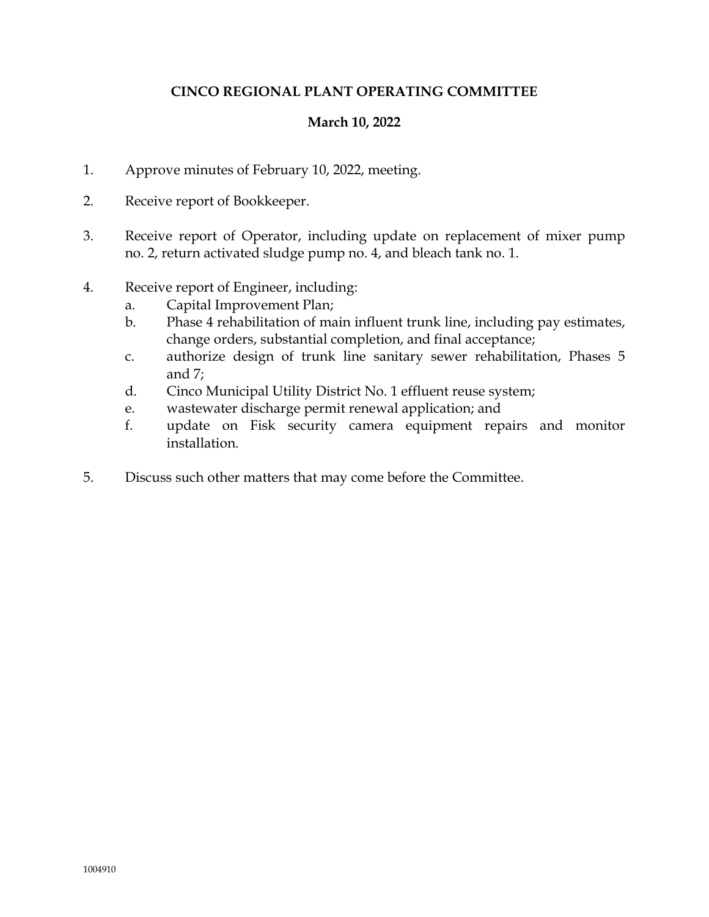# **CINCO REGIONAL PLANT OPERATING COMMITTEE**

# **March 10, 2022**

- 1. Approve minutes of February 10, 2022, meeting.
- 2. Receive report of Bookkeeper.
- 3. Receive report of Operator, including update on replacement of mixer pump no. 2, return activated sludge pump no. 4, and bleach tank no. 1.
- 4. Receive report of Engineer, including:
	- a. Capital Improvement Plan;
	- b. Phase 4 rehabilitation of main influent trunk line, including pay estimates, change orders, substantial completion, and final acceptance;
	- c. authorize design of trunk line sanitary sewer rehabilitation, Phases 5 and 7;
	- d. Cinco Municipal Utility District No. 1 effluent reuse system;
	- e. wastewater discharge permit renewal application; and
	- f. update on Fisk security camera equipment repairs and monitor installation.
- 5. Discuss such other matters that may come before the Committee.